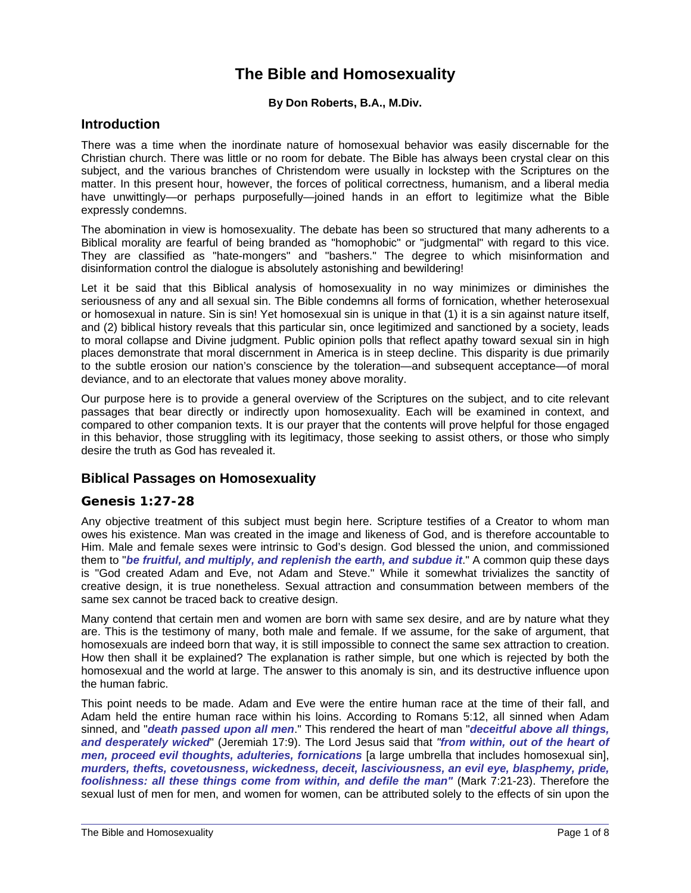## **The Bible and Homosexuality**

#### **By Don Roberts, B.A., M.Div.**

#### **Introduction**

There was a time when the inordinate nature of homosexual behavior was easily discernable for the Christian church. There was little or no room for debate. The Bible has always been crystal clear on this subject, and the various branches of Christendom were usually in lockstep with the Scriptures on the matter. In this present hour, however, the forces of political correctness, humanism, and a liberal media have unwittingly—or perhaps purposefully—joined hands in an effort to legitimize what the Bible expressly condemns.

The abomination in view is homosexuality. The debate has been so structured that many adherents to a Biblical morality are fearful of being branded as "homophobic" or "judgmental" with regard to this vice. They are classified as "hate-mongers" and "bashers." The degree to which misinformation and disinformation control the dialogue is absolutely astonishing and bewildering!

Let it be said that this Biblical analysis of homosexuality in no way minimizes or diminishes the seriousness of any and all sexual sin. The Bible condemns all forms of fornication, whether heterosexual or homosexual in nature. Sin is sin! Yet homosexual sin is unique in that (1) it is a sin against nature itself, and (2) biblical history reveals that this particular sin, once legitimized and sanctioned by a society, leads to moral collapse and Divine judgment. Public opinion polls that reflect apathy toward sexual sin in high places demonstrate that moral discernment in America is in steep decline. This disparity is due primarily to the subtle erosion our nation's conscience by the toleration—and subsequent acceptance—of moral deviance, and to an electorate that values money above morality.

Our purpose here is to provide a general overview of the Scriptures on the subject, and to cite relevant passages that bear directly or indirectly upon homosexuality. Each will be examined in context, and compared to other companion texts. It is our prayer that the contents will prove helpful for those engaged in this behavior, those struggling with its legitimacy, those seeking to assist others, or those who simply desire the truth as God has revealed it.

#### **Biblical Passages on Homosexuality**

#### **Genesis 1:27-28**

Any objective treatment of this subject must begin here. Scripture testifies of a Creator to whom man owes his existence. Man was created in the image and likeness of God, and is therefore accountable to Him. Male and female sexes were intrinsic to God's design. God blessed the union, and commissioned them to "*be fruitful, and multiply, and replenish the earth, and subdue it*." A common quip these days is "God created Adam and Eve, not Adam and Steve." While it somewhat trivializes the sanctity of creative design, it is true nonetheless. Sexual attraction and consummation between members of the same sex cannot be traced back to creative design.

Many contend that certain men and women are born with same sex desire, and are by nature what they are. This is the testimony of many, both male and female. If we assume, for the sake of argument, that homosexuals are indeed born that way, it is still impossible to connect the same sex attraction to creation. How then shall it be explained? The explanation is rather simple, but one which is rejected by both the homosexual and the world at large. The answer to this anomaly is sin, and its destructive influence upon the human fabric.

This point needs to be made. Adam and Eve were the entire human race at the time of their fall, and Adam held the entire human race within his loins. According to Romans 5:12, all sinned when Adam sinned, and "*death passed upon all men*." This rendered the heart of man "*deceitful above all things, and desperately wicked*" (Jeremiah 17:9). The Lord Jesus said that *"from within, out of the heart of men, proceed evil thoughts, adulteries, fornications* [a large umbrella that includes homosexual sin], *murders, thefts, covetousness, wickedness, deceit, lasciviousness, an evil eye, blasphemy, pride, foolishness: all these things come from within, and defile the man"* (Mark 7:21-23). Therefore the sexual lust of men for men, and women for women, can be attributed solely to the effects of sin upon the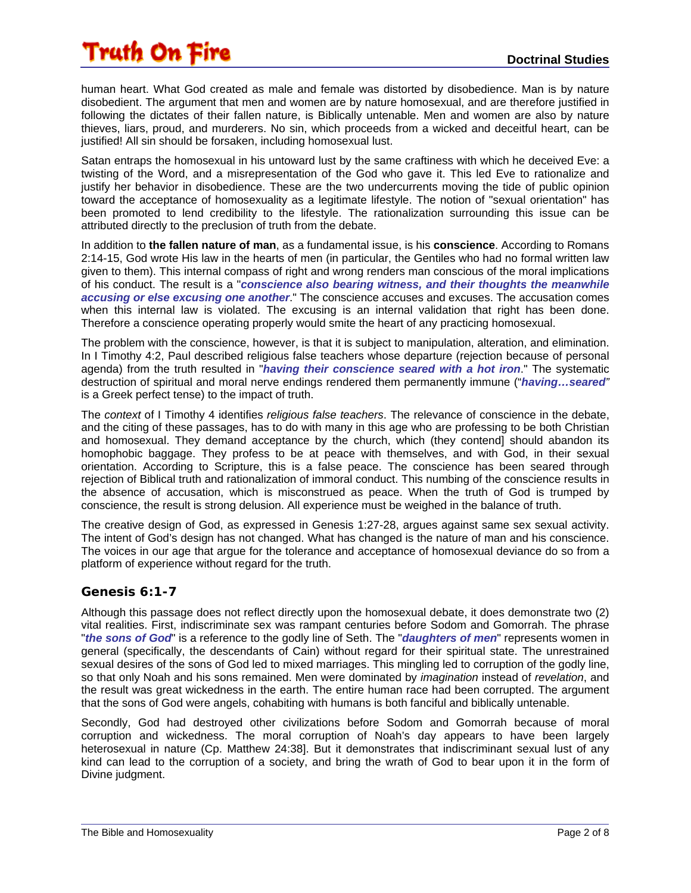human heart. What God created as male and female was distorted by disobedience. Man is by nature disobedient. The argument that men and women are by nature homosexual, and are therefore justified in following the dictates of their fallen nature, is Biblically untenable. Men and women are also by nature thieves, liars, proud, and murderers. No sin, which proceeds from a wicked and deceitful heart, can be justified! All sin should be forsaken, including homosexual lust.

Satan entraps the homosexual in his untoward lust by the same craftiness with which he deceived Eve: a twisting of the Word, and a misrepresentation of the God who gave it. This led Eve to rationalize and justify her behavior in disobedience. These are the two undercurrents moving the tide of public opinion toward the acceptance of homosexuality as a legitimate lifestyle. The notion of "sexual orientation" has been promoted to lend credibility to the lifestyle. The rationalization surrounding this issue can be attributed directly to the preclusion of truth from the debate.

In addition to **the fallen nature of man**, as a fundamental issue, is his **conscience**. According to Romans 2:14-15, God wrote His law in the hearts of men (in particular, the Gentiles who had no formal written law given to them). This internal compass of right and wrong renders man conscious of the moral implications of his conduct. The result is a "*conscience also bearing witness, and their thoughts the meanwhile accusing or else excusing one another*." The conscience accuses and excuses. The accusation comes when this internal law is violated. The excusing is an internal validation that right has been done. Therefore a conscience operating properly would smite the heart of any practicing homosexual.

The problem with the conscience, however, is that it is subject to manipulation, alteration, and elimination. In I Timothy 4:2, Paul described religious false teachers whose departure (rejection because of personal agenda) from the truth resulted in "*having their conscience seared with a hot iron*." The systematic destruction of spiritual and moral nerve endings rendered them permanently immune ("*having…seared"* is a Greek perfect tense) to the impact of truth.

The *context* of I Timothy 4 identifies *religious false teachers*. The relevance of conscience in the debate, and the citing of these passages, has to do with many in this age who are professing to be both Christian and homosexual. They demand acceptance by the church, which (they contend] should abandon its homophobic baggage. They profess to be at peace with themselves, and with God, in their sexual orientation. According to Scripture, this is a false peace. The conscience has been seared through rejection of Biblical truth and rationalization of immoral conduct. This numbing of the conscience results in the absence of accusation, which is misconstrued as peace. When the truth of God is trumped by conscience, the result is strong delusion. All experience must be weighed in the balance of truth.

The creative design of God, as expressed in Genesis 1:27-28, argues against same sex sexual activity. The intent of God's design has not changed. What has changed is the nature of man and his conscience. The voices in our age that argue for the tolerance and acceptance of homosexual deviance do so from a platform of experience without regard for the truth.

### **Genesis 6:1-7**

Although this passage does not reflect directly upon the homosexual debate, it does demonstrate two (2) vital realities. First, indiscriminate sex was rampant centuries before Sodom and Gomorrah. The phrase "*the sons of God*" is a reference to the godly line of Seth. The "*daughters of men*" represents women in general (specifically, the descendants of Cain) without regard for their spiritual state. The unrestrained sexual desires of the sons of God led to mixed marriages. This mingling led to corruption of the godly line, so that only Noah and his sons remained. Men were dominated by *imagination* instead of *revelation*, and the result was great wickedness in the earth. The entire human race had been corrupted. The argument that the sons of God were angels, cohabiting with humans is both fanciful and biblically untenable.

Secondly, God had destroyed other civilizations before Sodom and Gomorrah because of moral corruption and wickedness. The moral corruption of Noah's day appears to have been largely heterosexual in nature (Cp. Matthew 24:38]. But it demonstrates that indiscriminant sexual lust of any kind can lead to the corruption of a society, and bring the wrath of God to bear upon it in the form of Divine judgment.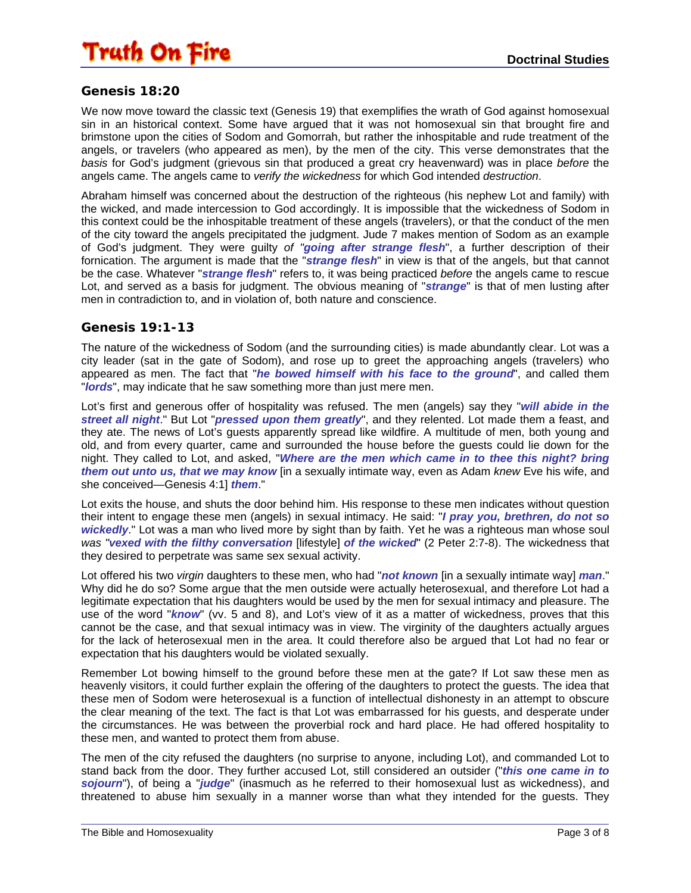

#### **Genesis 18:20**

We now move toward the classic text (Genesis 19) that exemplifies the wrath of God against homosexual sin in an historical context. Some have argued that it was not homosexual sin that brought fire and brimstone upon the cities of Sodom and Gomorrah, but rather the inhospitable and rude treatment of the angels, or travelers (who appeared as men), by the men of the city. This verse demonstrates that the *basis* for God's judgment (grievous sin that produced a great cry heavenward) was in place *before* the angels came. The angels came to *verify the wickedness* for which God intended *destruction*.

Abraham himself was concerned about the destruction of the righteous (his nephew Lot and family) with the wicked, and made intercession to God accordingly. It is impossible that the wickedness of Sodom in this context could be the inhospitable treatment of these angels (travelers), or that the conduct of the men of the city toward the angels precipitated the judgment. Jude 7 makes mention of Sodom as an example of God's judgment. They were guilty *of "going after strange flesh*", a further description of their fornication. The argument is made that the "*strange flesh*" in view is that of the angels, but that cannot be the case. Whatever "*strange flesh*" refers to, it was being practiced *before* the angels came to rescue Lot, and served as a basis for judgment. The obvious meaning of "*strange*" is that of men lusting after men in contradiction to, and in violation of, both nature and conscience.

#### **Genesis 19:1-13**

The nature of the wickedness of Sodom (and the surrounding cities) is made abundantly clear. Lot was a city leader (sat in the gate of Sodom), and rose up to greet the approaching angels (travelers) who appeared as men. The fact that "*he bowed himself with his face to the ground*", and called them "*lords*", may indicate that he saw something more than just mere men.

Lot's first and generous offer of hospitality was refused. The men (angels) say they "*will abide in the street all night*." But Lot "*pressed upon them greatly*", and they relented. Lot made them a feast, and they ate. The news of Lot's guests apparently spread like wildfire. A multitude of men, both young and old, and from every quarter, came and surrounded the house before the guests could lie down for the night. They called to Lot, and asked, "*Where are the men which came in to thee this night? bring them out unto us, that we may know* [in a sexually intimate way, even as Adam *knew* Eve his wife, and she conceived—Genesis 4:1] *them*."

Lot exits the house, and shuts the door behind him. His response to these men indicates without question their intent to engage these men (angels) in sexual intimacy. He said: "*I pray you, brethren, do not so wickedly*." Lot was a man who lived more by sight than by faith. Yet he was a righteous man whose soul *was "vexed with the filthy conversation* [lifestyle] *of the wicked*" (2 Peter 2:7-8). The wickedness that they desired to perpetrate was same sex sexual activity.

Lot offered his two *virgin* daughters to these men, who had "*not known* [in a sexually intimate way] *man*." Why did he do so? Some argue that the men outside were actually heterosexual, and therefore Lot had a legitimate expectation that his daughters would be used by the men for sexual intimacy and pleasure. The use of the word "*know*" (vv. 5 and 8), and Lot's view of it as a matter of wickedness, proves that this cannot be the case, and that sexual intimacy was in view. The virginity of the daughters actually argues for the lack of heterosexual men in the area. It could therefore also be argued that Lot had no fear or expectation that his daughters would be violated sexually.

Remember Lot bowing himself to the ground before these men at the gate? If Lot saw these men as heavenly visitors, it could further explain the offering of the daughters to protect the guests. The idea that these men of Sodom were heterosexual is a function of intellectual dishonesty in an attempt to obscure the clear meaning of the text. The fact is that Lot was embarrassed for his guests, and desperate under the circumstances. He was between the proverbial rock and hard place. He had offered hospitality to these men, and wanted to protect them from abuse.

The men of the city refused the daughters (no surprise to anyone, including Lot), and commanded Lot to stand back from the door. They further accused Lot, still considered an outsider ("*this one came in to sojourn*"), of being a "*judge*" (inasmuch as he referred to their homosexual lust as wickedness), and threatened to abuse him sexually in a manner worse than what they intended for the guests. They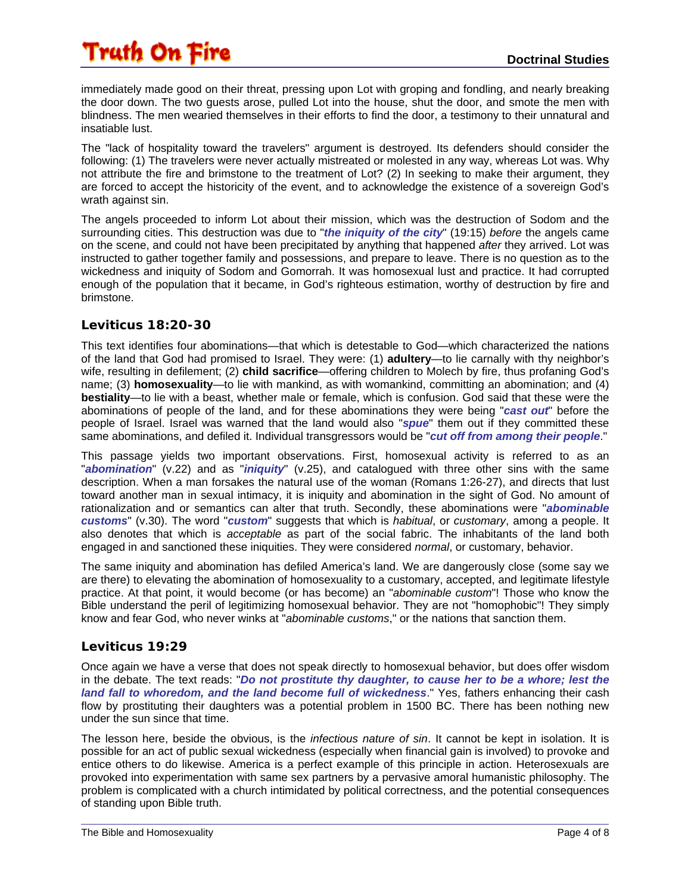immediately made good on their threat, pressing upon Lot with groping and fondling, and nearly breaking the door down. The two guests arose, pulled Lot into the house, shut the door, and smote the men with blindness. The men wearied themselves in their efforts to find the door, a testimony to their unnatural and insatiable lust.

The "lack of hospitality toward the travelers" argument is destroyed. Its defenders should consider the following: (1) The travelers were never actually mistreated or molested in any way, whereas Lot was. Why not attribute the fire and brimstone to the treatment of Lot? (2) In seeking to make their argument, they are forced to accept the historicity of the event, and to acknowledge the existence of a sovereign God's wrath against sin.

The angels proceeded to inform Lot about their mission, which was the destruction of Sodom and the surrounding cities. This destruction was due to "*the iniquity of the city*" (19:15) *before* the angels came on the scene, and could not have been precipitated by anything that happened *after* they arrived. Lot was instructed to gather together family and possessions, and prepare to leave. There is no question as to the wickedness and iniquity of Sodom and Gomorrah. It was homosexual lust and practice. It had corrupted enough of the population that it became, in God's righteous estimation, worthy of destruction by fire and brimstone.

#### **Leviticus 18:20-30**

This text identifies four abominations—that which is detestable to God—which characterized the nations of the land that God had promised to Israel. They were: (1) **adultery**—to lie carnally with thy neighbor's wife, resulting in defilement; (2) **child sacrifice**—offering children to Molech by fire, thus profaning God's name; (3) **homosexuality**—to lie with mankind, as with womankind, committing an abomination; and (4) **bestiality**—to lie with a beast, whether male or female, which is confusion. God said that these were the abominations of people of the land, and for these abominations they were being "*cast out*" before the people of Israel. Israel was warned that the land would also "*spue*" them out if they committed these same abominations, and defiled it. Individual transgressors would be "*cut off from among their people*."

This passage yields two important observations. First, homosexual activity is referred to as an "*abomination*" (v.22) and as "*iniquity*" (v.25), and catalogued with three other sins with the same description. When a man forsakes the natural use of the woman (Romans 1:26-27), and directs that lust toward another man in sexual intimacy, it is iniquity and abomination in the sight of God. No amount of rationalization and or semantics can alter that truth. Secondly, these abominations were "*abominable customs*" (v.30). The word "*custom*" suggests that which is *habitual*, or *customary*, among a people. It also denotes that which is *acceptable* as part of the social fabric. The inhabitants of the land both engaged in and sanctioned these iniquities. They were considered *normal*, or customary, behavior.

The same iniquity and abomination has defiled America's land. We are dangerously close (some say we are there) to elevating the abomination of homosexuality to a customary, accepted, and legitimate lifestyle practice. At that point, it would become (or has become) an "*abominable custom*"! Those who know the Bible understand the peril of legitimizing homosexual behavior. They are not "homophobic"! They simply know and fear God, who never winks at "*abominable customs*," or the nations that sanction them.

#### **Leviticus 19:29**

Once again we have a verse that does not speak directly to homosexual behavior, but does offer wisdom in the debate. The text reads: "*Do not prostitute thy daughter, to cause her to be a whore; lest the land fall to whoredom, and the land become full of wickedness*." Yes, fathers enhancing their cash flow by prostituting their daughters was a potential problem in 1500 BC. There has been nothing new under the sun since that time.

The lesson here, beside the obvious, is the *infectious nature of sin*. It cannot be kept in isolation. It is possible for an act of public sexual wickedness (especially when financial gain is involved) to provoke and entice others to do likewise. America is a perfect example of this principle in action. Heterosexuals are provoked into experimentation with same sex partners by a pervasive amoral humanistic philosophy. The problem is complicated with a church intimidated by political correctness, and the potential consequences of standing upon Bible truth.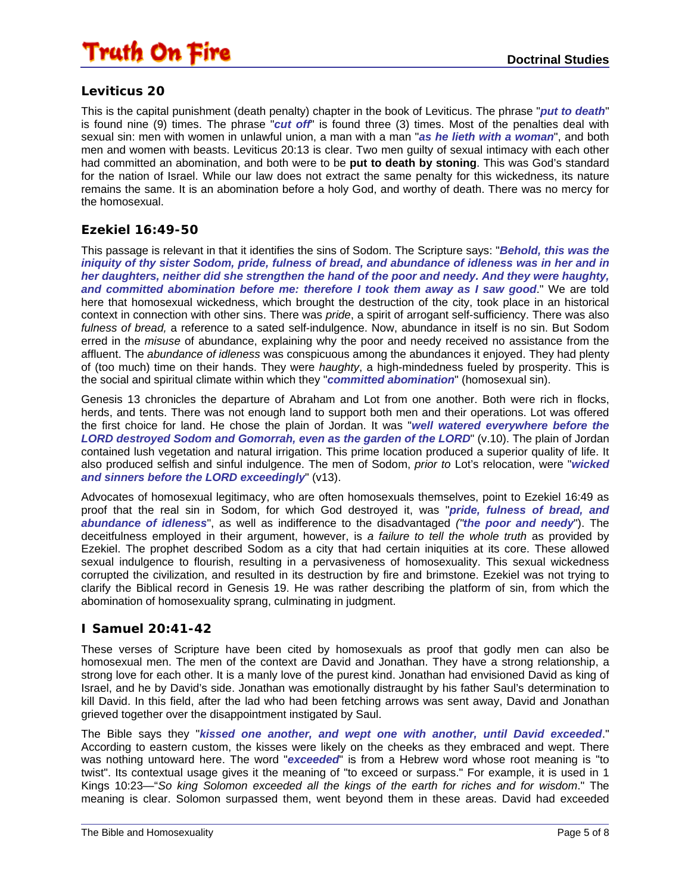

#### **Leviticus 20**

This is the capital punishment (death penalty) chapter in the book of Leviticus. The phrase "*put to death*" is found nine (9) times. The phrase "*cut off*" is found three (3) times. Most of the penalties deal with sexual sin: men with women in unlawful union, a man with a man "*as he lieth with a woman*", and both men and women with beasts. Leviticus 20:13 is clear. Two men guilty of sexual intimacy with each other had committed an abomination, and both were to be **put to death by stoning**. This was God's standard for the nation of Israel. While our law does not extract the same penalty for this wickedness, its nature remains the same. It is an abomination before a holy God, and worthy of death. There was no mercy for the homosexual.

#### **Ezekiel 16:49-50**

This passage is relevant in that it identifies the sins of Sodom. The Scripture says: "*Behold, this was the iniquity of thy sister Sodom, pride, fulness of bread, and abundance of idleness was in her and in her daughters, neither did she strengthen the hand of the poor and needy. And they were haughty, and committed abomination before me: therefore I took them away as I saw good*." We are told here that homosexual wickedness, which brought the destruction of the city, took place in an historical context in connection with other sins. There was *pride*, a spirit of arrogant self-sufficiency. There was also *fulness of bread,* a reference to a sated self-indulgence. Now, abundance in itself is no sin. But Sodom erred in the *misuse* of abundance, explaining why the poor and needy received no assistance from the affluent. The *abundance of idleness* was conspicuous among the abundances it enjoyed. They had plenty of (too much) time on their hands. They were *haughty*, a high-mindedness fueled by prosperity. This is the social and spiritual climate within which they "*committed abomination*" (homosexual sin).

Genesis 13 chronicles the departure of Abraham and Lot from one another. Both were rich in flocks, herds, and tents. There was not enough land to support both men and their operations. Lot was offered the first choice for land. He chose the plain of Jordan. It was "*well watered everywhere before the LORD destroyed Sodom and Gomorrah, even as the garden of the LORD*" (v.10). The plain of Jordan contained lush vegetation and natural irrigation. This prime location produced a superior quality of life. It also produced selfish and sinful indulgence. The men of Sodom, *prior to* Lot's relocation, were "*wicked and sinners before the LORD exceedingly*" (v13).

Advocates of homosexual legitimacy, who are often homosexuals themselves, point to Ezekiel 16:49 as proof that the real sin in Sodom, for which God destroyed it, was "*pride, fulness of bread, and abundance of idleness*", as well as indifference to the disadvantaged *("the poor and needy*"). The deceitfulness employed in their argument, however, is *a failure to tell the whole truth* as provided by Ezekiel. The prophet described Sodom as a city that had certain iniquities at its core. These allowed sexual indulgence to flourish, resulting in a pervasiveness of homosexuality. This sexual wickedness corrupted the civilization, and resulted in its destruction by fire and brimstone. Ezekiel was not trying to clarify the Biblical record in Genesis 19. He was rather describing the platform of sin, from which the abomination of homosexuality sprang, culminating in judgment.

#### **I Samuel 20:41-42**

These verses of Scripture have been cited by homosexuals as proof that godly men can also be homosexual men. The men of the context are David and Jonathan. They have a strong relationship, a strong love for each other. It is a manly love of the purest kind. Jonathan had envisioned David as king of Israel, and he by David's side. Jonathan was emotionally distraught by his father Saul's determination to kill David. In this field, after the lad who had been fetching arrows was sent away, David and Jonathan grieved together over the disappointment instigated by Saul.

The Bible says they "*kissed one another, and wept one with another, until David exceeded*." According to eastern custom, the kisses were likely on the cheeks as they embraced and wept. There was nothing untoward here. The word "*exceeded*" is from a Hebrew word whose root meaning is "to twist". Its contextual usage gives it the meaning of "to exceed or surpass." For example, it is used in 1 Kings 10:23—"*So king Solomon exceeded all the kings of the earth for riches and for wisdom*." The meaning is clear. Solomon surpassed them, went beyond them in these areas. David had exceeded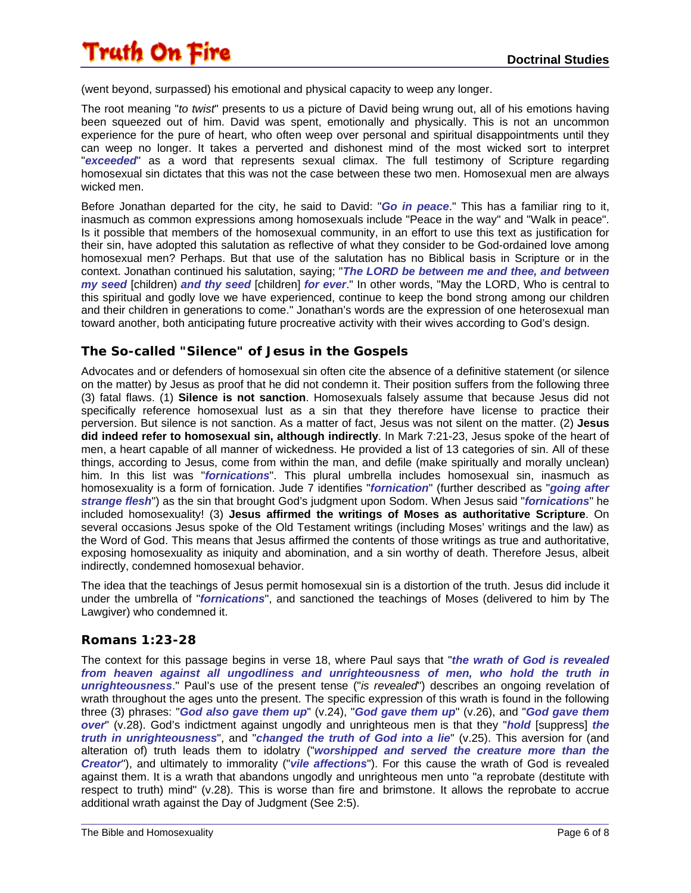(went beyond, surpassed) his emotional and physical capacity to weep any longer.

The root meaning "*to twist*" presents to us a picture of David being wrung out, all of his emotions having been squeezed out of him. David was spent, emotionally and physically. This is not an uncommon experience for the pure of heart, who often weep over personal and spiritual disappointments until they can weep no longer. It takes a perverted and dishonest mind of the most wicked sort to interpret "*exceeded*" as a word that represents sexual climax. The full testimony of Scripture regarding homosexual sin dictates that this was not the case between these two men. Homosexual men are always wicked men.

Before Jonathan departed for the city, he said to David: "*Go in peace*." This has a familiar ring to it, inasmuch as common expressions among homosexuals include "Peace in the way" and "Walk in peace". Is it possible that members of the homosexual community, in an effort to use this text as justification for their sin, have adopted this salutation as reflective of what they consider to be God-ordained love among homosexual men? Perhaps. But that use of the salutation has no Biblical basis in Scripture or in the context. Jonathan continued his salutation, saying; "*The LORD be between me and thee, and between my seed* [children) *and thy seed* [children] *for ever*." In other words, "May the LORD, Who is central to this spiritual and godly love we have experienced, continue to keep the bond strong among our children and their children in generations to come." Jonathan's words are the expression of one heterosexual man toward another, both anticipating future procreative activity with their wives according to God's design.

#### **The So-called "Silence" of Jesus in the Gospels**

Advocates and or defenders of homosexual sin often cite the absence of a definitive statement (or silence on the matter) by Jesus as proof that he did not condemn it. Their position suffers from the following three (3) fatal flaws. (1) **Silence is not sanction**. Homosexuals falsely assume that because Jesus did not specifically reference homosexual lust as a sin that they therefore have license to practice their perversion. But silence is not sanction. As a matter of fact, Jesus was not silent on the matter. (2) **Jesus did indeed refer to homosexual sin, although indirectly**. In Mark 7:21-23, Jesus spoke of the heart of men, a heart capable of all manner of wickedness. He provided a list of 13 categories of sin. All of these things, according to Jesus, come from within the man, and defile (make spiritually and morally unclean) him. In this list was "*fornications*". This plural umbrella includes homosexual sin, inasmuch as homosexuality is a form of fornication. Jude 7 identifies "*fornication*" (further described as "*going after strange flesh*") as the sin that brought God's judgment upon Sodom. When Jesus said "*fornications*" he included homosexuality! (3) **Jesus affirmed the writings of Moses as authoritative Scripture**. On several occasions Jesus spoke of the Old Testament writings (including Moses' writings and the law) as the Word of God. This means that Jesus affirmed the contents of those writings as true and authoritative, exposing homosexuality as iniquity and abomination, and a sin worthy of death. Therefore Jesus, albeit indirectly, condemned homosexual behavior.

The idea that the teachings of Jesus permit homosexual sin is a distortion of the truth. Jesus did include it under the umbrella of "*fornications*", and sanctioned the teachings of Moses (delivered to him by The Lawgiver) who condemned it.

#### **Romans 1:23-28**

The context for this passage begins in verse 18, where Paul says that "*the wrath of God is revealed from heaven against all ungodliness and unrighteousness of men, who hold the truth in unrighteousness*." Paul's use of the present tense ("*is revealed*") describes an ongoing revelation of wrath throughout the ages unto the present. The specific expression of this wrath is found in the following three (3) phrases: "*God also gave them up*" (v.24), "*God gave them up*" (v.26), and "*God gave them over*" (v.28). God's indictment against ungodly and unrighteous men is that they "*hold* [suppress] *the truth in unrighteousness*", and "*changed the truth of God into a lie*" (v.25). This aversion for (and alteration of) truth leads them to idolatry ("*worshipped and served the creature more than the Creator*"), and ultimately to immorality ("*vile affections*"). For this cause the wrath of God is revealed against them. It is a wrath that abandons ungodly and unrighteous men unto "a reprobate (destitute with respect to truth) mind" (v.28). This is worse than fire and brimstone. It allows the reprobate to accrue additional wrath against the Day of Judgment (See 2:5).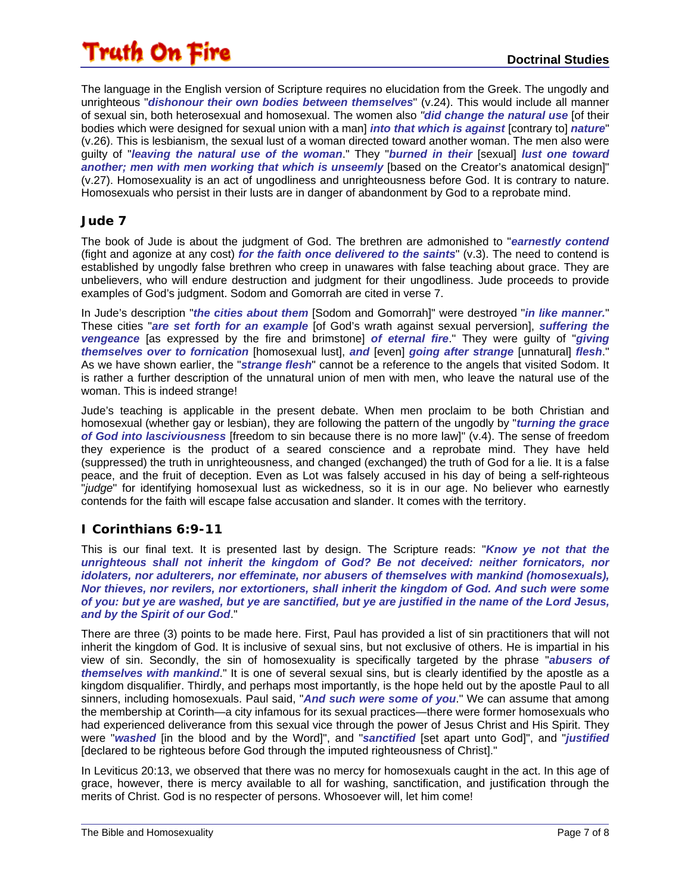The language in the English version of Scripture requires no elucidation from the Greek. The ungodly and unrighteous "dishonour their own bodies between themselves" (v.24). This would include all manner of sexual sin, both heterosexual and homosexual. The women also *"did change the natural use* [of their bodies which were designed for sexual union with a man] *into that which is against* [contrary to] *nature*" (v.26). This is lesbianism, the sexual lust of a woman directed toward another woman. The men also were guilty of "*leaving the natural use of the woman*." They "*burned in their* [sexual] *lust one toward another; men with men working that which is unseemly* [based on the Creator's anatomical design]" (v.27). Homosexuality is an act of ungodliness and unrighteousness before God. It is contrary to nature. Homosexuals who persist in their lusts are in danger of abandonment by God to a reprobate mind.

### **Jude 7**

The book of Jude is about the judgment of God. The brethren are admonished to "*earnestly contend* (fight and agonize at any cost) *for the faith once delivered to the saints*" (v.3). The need to contend is established by ungodly false brethren who creep in unawares with false teaching about grace. They are unbelievers, who will endure destruction and judgment for their ungodliness. Jude proceeds to provide examples of God's judgment. Sodom and Gomorrah are cited in verse 7.

In Jude's description "*the cities about them* [Sodom and Gomorrah]" were destroyed "*in like manner.*" These cities "*are set forth for an example* [of God's wrath against sexual perversion], *suffering the vengeance* [as expressed by the fire and brimstone] *of eternal fire*." They were guilty of "*giving themselves over to fornication* [homosexual lust], *and* [even] *going after strange* [unnatural] *flesh*." As we have shown earlier, the "*strange flesh*" cannot be a reference to the angels that visited Sodom. It is rather a further description of the unnatural union of men with men, who leave the natural use of the woman. This is indeed strange!

Jude's teaching is applicable in the present debate. When men proclaim to be both Christian and homosexual (whether gay or lesbian), they are following the pattern of the ungodly by "*turning the grace of God into lasciviousness* [freedom to sin because there is no more law]" (v.4). The sense of freedom they experience is the product of a seared conscience and a reprobate mind. They have held (suppressed) the truth in unrighteousness, and changed (exchanged) the truth of God for a lie. It is a false peace, and the fruit of deception. Even as Lot was falsely accused in his day of being a self-righteous "*judge*" for identifying homosexual lust as wickedness, so it is in our age. No believer who earnestly contends for the faith will escape false accusation and slander. It comes with the territory.

### **I Corinthians 6:9-11**

This is our final text. It is presented last by design. The Scripture reads: "*Know ye not that the unrighteous shall not inherit the kingdom of God? Be not deceived: neither fornicators, nor idolaters, nor adulterers, nor effeminate, nor abusers of themselves with mankind (homosexuals), Nor thieves, nor revilers, nor extortioners, shall inherit the kingdom of God. And such were some of you: but ye are washed, but ye are sanctified, but ye are justified in the name of the Lord Jesus, and by the Spirit of our God*."

There are three (3) points to be made here. First, Paul has provided a list of sin practitioners that will not inherit the kingdom of God. It is inclusive of sexual sins, but not exclusive of others. He is impartial in his view of sin. Secondly, the sin of homosexuality is specifically targeted by the phrase "*abusers of themselves with mankind*." It is one of several sexual sins, but is clearly identified by the apostle as a kingdom disqualifier. Thirdly, and perhaps most importantly, is the hope held out by the apostle Paul to all sinners, including homosexuals. Paul said, "*And such were some of you*." We can assume that among the membership at Corinth—a city infamous for its sexual practices—there were former homosexuals who had experienced deliverance from this sexual vice through the power of Jesus Christ and His Spirit. They were "*washed* [in the blood and by the Word]", and "*sanctified* [set apart unto God]", and "*justified* [declared to be righteous before God through the imputed righteousness of Christ]."

In Leviticus 20:13, we observed that there was no mercy for homosexuals caught in the act. In this age of grace, however, there is mercy available to all for washing, sanctification, and justification through the merits of Christ. God is no respecter of persons. Whosoever will, let him come!